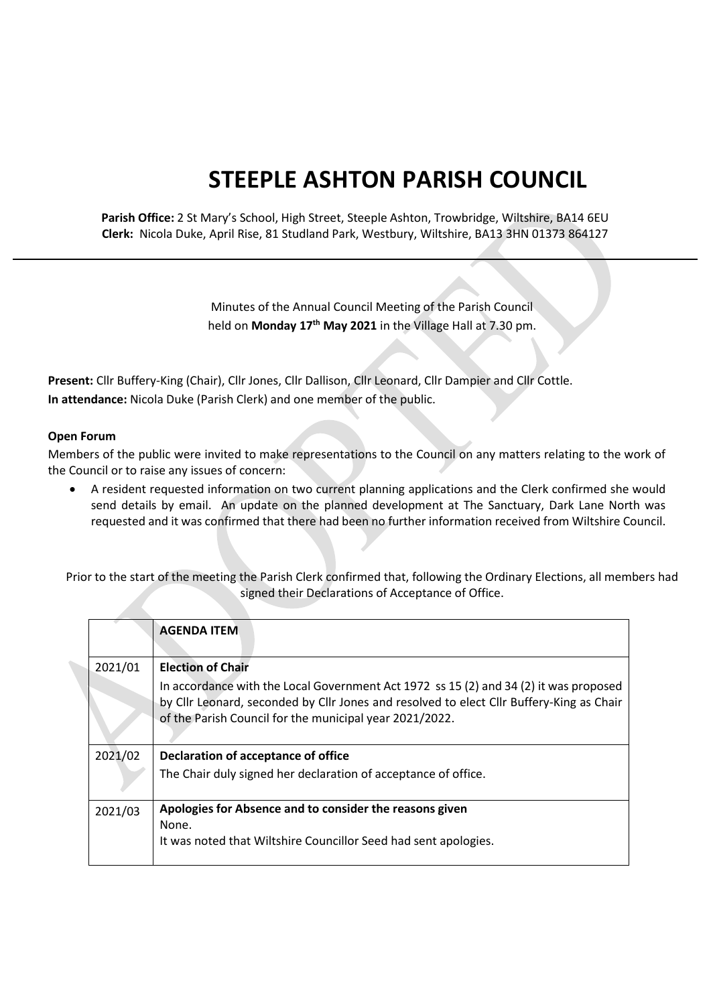## **STEEPLE ASHTON PARISH COUNCIL**

**Parish Office:** 2 St Mary's School, High Street, Steeple Ashton, Trowbridge, Wiltshire, BA14 6EU **Clerk:** Nicola Duke, April Rise, 81 Studland Park, Westbury, Wiltshire, BA13 3HN 01373 864127

> Minutes of the Annual Council Meeting of the Parish Council held on **Monday 17th May 2021** in the Village Hall at 7.30 pm.

**Present:** Cllr Buffery-King (Chair), Cllr Jones, Cllr Dallison, Cllr Leonard, Cllr Dampier and Cllr Cottle. **In attendance:** Nicola Duke (Parish Clerk) and one member of the public.

## **Open Forum**

Members of the public were invited to make representations to the Council on any matters relating to the work of the Council or to raise any issues of concern:

 A resident requested information on two current planning applications and the Clerk confirmed she would send details by email. An update on the planned development at The Sanctuary, Dark Lane North was requested and it was confirmed that there had been no further information received from Wiltshire Council.

Prior to the start of the meeting the Parish Clerk confirmed that, following the Ordinary Elections, all members had signed their Declarations of Acceptance of Office.

|         | <b>AGENDA ITEM</b>                                                                                                                                  |
|---------|-----------------------------------------------------------------------------------------------------------------------------------------------------|
| 2021/01 | <b>Election of Chair</b><br>In accordance with the Local Government Act 1972 ss 15 (2) and 34 (2) it was proposed                                   |
|         | by Cllr Leonard, seconded by Cllr Jones and resolved to elect Cllr Buffery-King as Chair<br>of the Parish Council for the municipal year 2021/2022. |
| 2021/02 | Declaration of acceptance of office                                                                                                                 |
|         | The Chair duly signed her declaration of acceptance of office.                                                                                      |
| 2021/03 | Apologies for Absence and to consider the reasons given                                                                                             |
|         | None.<br>It was noted that Wiltshire Councillor Seed had sent apologies.                                                                            |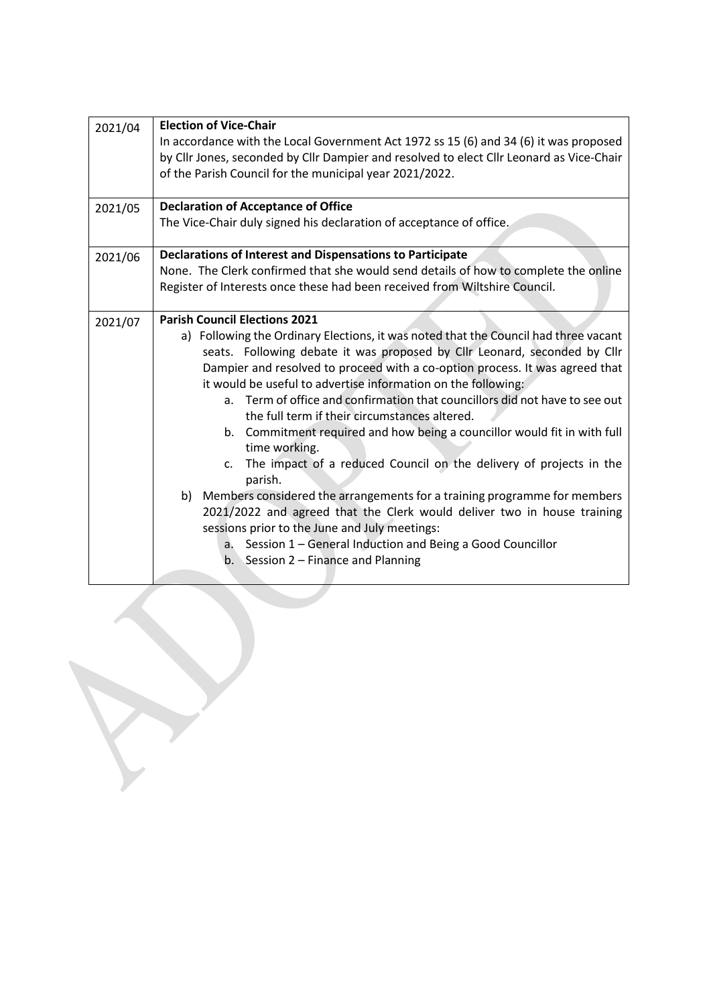| 2021/04<br>2021/05 | <b>Election of Vice-Chair</b><br>In accordance with the Local Government Act 1972 ss 15 (6) and 34 (6) it was proposed<br>by Cllr Jones, seconded by Cllr Dampier and resolved to elect Cllr Leonard as Vice-Chair<br>of the Parish Council for the municipal year 2021/2022.<br><b>Declaration of Acceptance of Office</b><br>The Vice-Chair duly signed his declaration of acceptance of office.                                                                                                                                                                                                                                                                                                                                                                                                                                                                                                                                                                                                            |
|--------------------|---------------------------------------------------------------------------------------------------------------------------------------------------------------------------------------------------------------------------------------------------------------------------------------------------------------------------------------------------------------------------------------------------------------------------------------------------------------------------------------------------------------------------------------------------------------------------------------------------------------------------------------------------------------------------------------------------------------------------------------------------------------------------------------------------------------------------------------------------------------------------------------------------------------------------------------------------------------------------------------------------------------|
|                    |                                                                                                                                                                                                                                                                                                                                                                                                                                                                                                                                                                                                                                                                                                                                                                                                                                                                                                                                                                                                               |
| 2021/06            | <b>Declarations of Interest and Dispensations to Participate</b><br>None. The Clerk confirmed that she would send details of how to complete the online<br>Register of Interests once these had been received from Wiltshire Council.                                                                                                                                                                                                                                                                                                                                                                                                                                                                                                                                                                                                                                                                                                                                                                         |
| 2021/07            | <b>Parish Council Elections 2021</b><br>a) Following the Ordinary Elections, it was noted that the Council had three vacant<br>seats. Following debate it was proposed by Cllr Leonard, seconded by Cllr<br>Dampier and resolved to proceed with a co-option process. It was agreed that<br>it would be useful to advertise information on the following:<br>a. Term of office and confirmation that councillors did not have to see out<br>the full term if their circumstances altered.<br>b. Commitment required and how being a councillor would fit in with full<br>time working.<br>The impact of a reduced Council on the delivery of projects in the<br>$\mathsf{C}$ .<br>parish.<br>b) Members considered the arrangements for a training programme for members<br>2021/2022 and agreed that the Clerk would deliver two in house training<br>sessions prior to the June and July meetings:<br>a. Session 1 - General Induction and Being a Good Councillor<br>b. Session $2$ – Finance and Planning |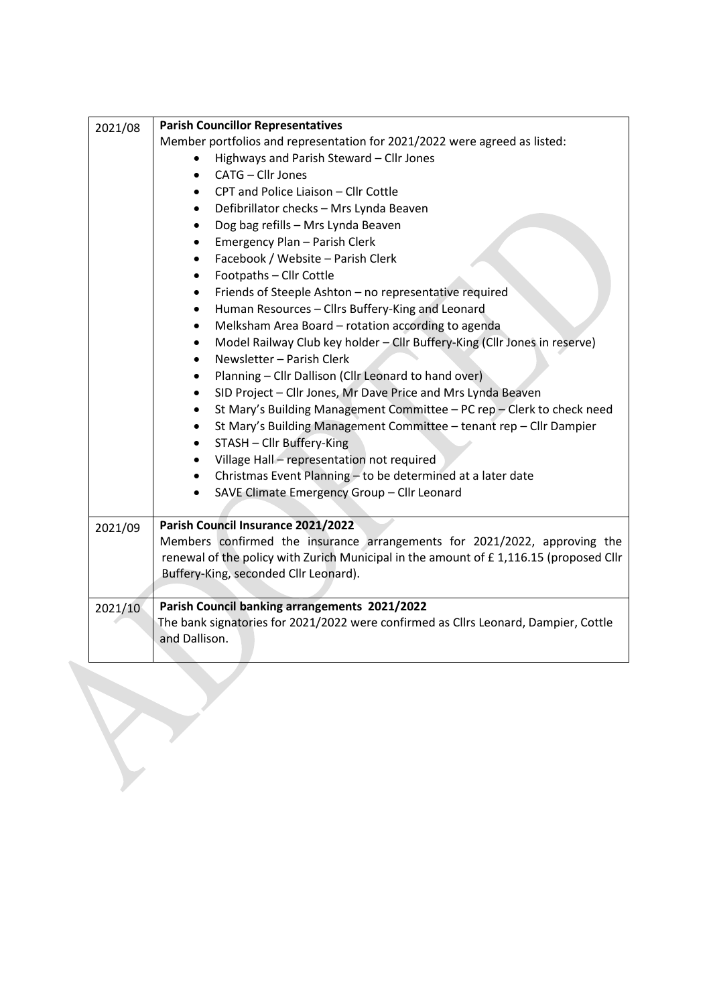| 2021/08 | <b>Parish Councillor Representatives</b>                                              |
|---------|---------------------------------------------------------------------------------------|
|         | Member portfolios and representation for 2021/2022 were agreed as listed:             |
|         | Highways and Parish Steward - Cllr Jones                                              |
|         | CATG - Cllr Jones                                                                     |
|         | CPT and Police Liaison - Cllr Cottle<br>$\bullet$                                     |
|         | Defibrillator checks - Mrs Lynda Beaven<br>$\bullet$                                  |
|         | Dog bag refills - Mrs Lynda Beaven                                                    |
|         | Emergency Plan - Parish Clerk                                                         |
|         | Facebook / Website - Parish Clerk<br>$\bullet$                                        |
|         | Footpaths - Cllr Cottle<br>$\bullet$                                                  |
|         | Friends of Steeple Ashton - no representative required<br>$\bullet$                   |
|         | Human Resources - Cllrs Buffery-King and Leonard<br>$\bullet$                         |
|         | Melksham Area Board - rotation according to agenda                                    |
|         | Model Railway Club key holder - Cllr Buffery-King (Cllr Jones in reserve)             |
|         | Newsletter - Parish Clerk<br>$\bullet$                                                |
|         | Planning - Cllr Dallison (Cllr Leonard to hand over)<br>$\bullet$                     |
|         | SID Project - Cllr Jones, Mr Dave Price and Mrs Lynda Beaven                          |
|         | St Mary's Building Management Committee - PC rep - Clerk to check need                |
|         | St Mary's Building Management Committee - tenant rep - Cllr Dampier<br>$\bullet$      |
|         | STASH - Cllr Buffery-King                                                             |
|         | Village Hall - representation not required                                            |
|         | Christmas Event Planning - to be determined at a later date                           |
|         | SAVE Climate Emergency Group - Cllr Leonard                                           |
|         |                                                                                       |
| 2021/09 | Parish Council Insurance 2021/2022                                                    |
|         | Members confirmed the insurance arrangements for 2021/2022, approving the             |
|         | renewal of the policy with Zurich Municipal in the amount of £1,116.15 (proposed Cllr |
|         | Buffery-King, seconded Cllr Leonard).                                                 |
|         |                                                                                       |
| 2021/10 | Parish Council banking arrangements 2021/2022                                         |
|         | The bank signatories for 2021/2022 were confirmed as Cllrs Leonard, Dampier, Cottle   |
|         | and Dallison.                                                                         |
|         |                                                                                       |

T